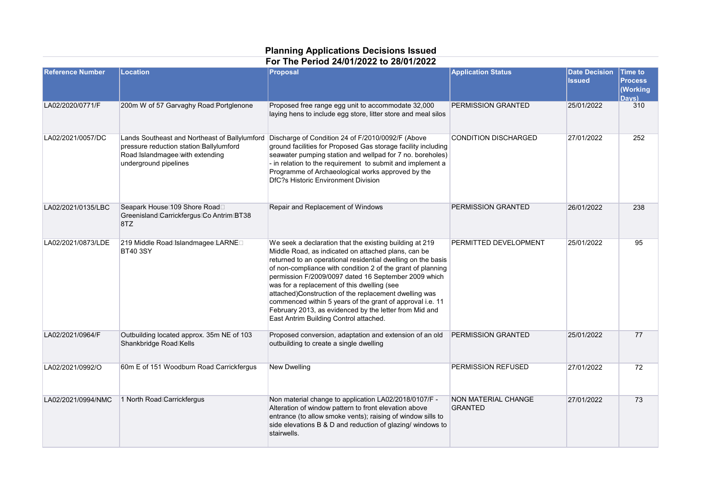## **Planning Applications Decisions Issued For The Period 24/01/2022 to 28/01/2022**

| <b>Reference Number</b> | Location                                                                                                                                             | <b>Proposal</b>                                                                                                                                                                                                                                                                                                                                                                                                                                                                                                                                                                 | <b>Application Status</b>                    | <b>Date Decision</b><br><b>Issued</b> | Time to<br><b>Process</b><br>(Working<br>Davs) |
|-------------------------|------------------------------------------------------------------------------------------------------------------------------------------------------|---------------------------------------------------------------------------------------------------------------------------------------------------------------------------------------------------------------------------------------------------------------------------------------------------------------------------------------------------------------------------------------------------------------------------------------------------------------------------------------------------------------------------------------------------------------------------------|----------------------------------------------|---------------------------------------|------------------------------------------------|
| LA02/2020/0771/F        | 200m W of 57 Garvaghy Road Portglenone                                                                                                               | Proposed free range egg unit to accommodate 32,000<br>laying hens to include egg store, litter store and meal silos                                                                                                                                                                                                                                                                                                                                                                                                                                                             | PERMISSION GRANTED                           | 25/01/2022                            | 310                                            |
| LA02/2021/0057/DC       | Lands Southeast and Northeast of Ballylumford<br>pressure reduction station Ballylumford<br>Road Islandmagee with extending<br>underground pipelines | Discharge of Condition 24 of F/2010/0092/F (Above<br>ground facilities for Proposed Gas storage facility including<br>seawater pumping station and wellpad for 7 no. boreholes)<br>- in relation to the requirement to submit and implement a<br>Programme of Archaeological works approved by the<br><b>DfC?s Historic Environment Division</b>                                                                                                                                                                                                                                | <b>CONDITION DISCHARGED</b>                  | 27/01/2022                            | 252                                            |
| LA02/2021/0135/LBC      | Seapark House <sup>109</sup> Shore Road□<br>Greenisland Carrickfergus Co Antrim BT38<br>8TZ                                                          | Repair and Replacement of Windows                                                                                                                                                                                                                                                                                                                                                                                                                                                                                                                                               | PERMISSION GRANTED                           | 26/01/2022                            | 238                                            |
| LA02/2021/0873/LDE      | 219 Middle Road Islandmagee LARNED<br><b>BT40 3SY</b>                                                                                                | We seek a declaration that the existing building at 219<br>Middle Road, as indicated on attached plans, can be<br>returned to an operational residential dwelling on the basis<br>of non-compliance with condition 2 of the grant of planning<br>permission F/2009/0097 dated 16 September 2009 which<br>was for a replacement of this dwelling (see<br>attached) Construction of the replacement dwelling was<br>commenced within 5 years of the grant of approval i.e. 11<br>February 2013, as evidenced by the letter from Mid and<br>East Antrim Building Control attached. | PERMITTED DEVELOPMENT                        | 25/01/2022                            | 95                                             |
| LA02/2021/0964/F        | Outbuilding located approx. 35m NE of 103<br>Shankbridge Road Kells                                                                                  | Proposed conversion, adaptation and extension of an old<br>outbuilding to create a single dwelling                                                                                                                                                                                                                                                                                                                                                                                                                                                                              | PERMISSION GRANTED                           | 25/01/2022                            | 77                                             |
| LA02/2021/0992/O        | 60m E of 151 Woodburn Road Carrickfergus                                                                                                             | <b>New Dwelling</b>                                                                                                                                                                                                                                                                                                                                                                                                                                                                                                                                                             | PERMISSION REFUSED                           | 27/01/2022                            | 72                                             |
| LA02/2021/0994/NMC      | 1 North Road Carrickfergus                                                                                                                           | Non material change to application LA02/2018/0107/F -<br>Alteration of window pattern to front elevation above<br>entrance (to allow smoke vents); raising of window sills to<br>side elevations B & D and reduction of glazing/ windows to<br>stairwells.                                                                                                                                                                                                                                                                                                                      | <b>NON MATERIAL CHANGE</b><br><b>GRANTED</b> | 27/01/2022                            | 73                                             |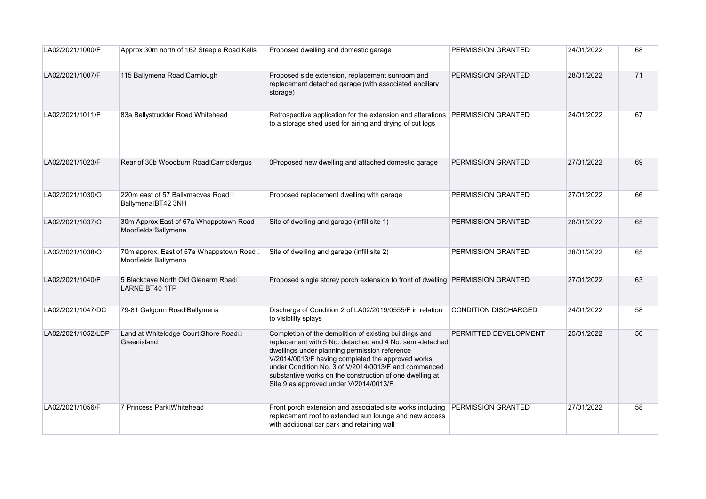| LA02/2021/1000/F   | Approx 30m north of 162 Steeple Road Kells                       | Proposed dwelling and domestic garage                                                                                                                                                                                                                                                                                                                                                  | PERMISSION GRANTED          | 24/01/2022 | 68 |
|--------------------|------------------------------------------------------------------|----------------------------------------------------------------------------------------------------------------------------------------------------------------------------------------------------------------------------------------------------------------------------------------------------------------------------------------------------------------------------------------|-----------------------------|------------|----|
| LA02/2021/1007/F   | 115 Ballymena Road Carnlough                                     | Proposed side extension, replacement sunroom and<br>replacement detached garage (with associated ancillary<br>storage)                                                                                                                                                                                                                                                                 | PERMISSION GRANTED          | 28/01/2022 | 71 |
| LA02/2021/1011/F   | 83a Ballystrudder Road Whitehead                                 | Retrospective application for the extension and alterations PERMISSION GRANTED<br>to a storage shed used for airing and drying of cut logs                                                                                                                                                                                                                                             |                             | 24/01/2022 | 67 |
| LA02/2021/1023/F   | Rear of 30b Woodburn Road Carrickfergus                          | 0Proposed new dwelling and attached domestic garage                                                                                                                                                                                                                                                                                                                                    | PERMISSION GRANTED          | 27/01/2022 | 69 |
| LA02/2021/1030/O   | 220m east of 57 Ballymacvea Road□<br>Ballymena BT42 3NH          | Proposed replacement dwelling with garage                                                                                                                                                                                                                                                                                                                                              | PERMISSION GRANTED          | 27/01/2022 | 66 |
| LA02/2021/1037/O   | 30m Approx East of 67a Whappstown Road<br>Moorfields Ballymena   | Site of dwelling and garage (infill site 1)                                                                                                                                                                                                                                                                                                                                            | PERMISSION GRANTED          | 28/01/2022 | 65 |
| LA02/2021/1038/O   | 70m approx. East of 67a Whappstown Road□<br>Moorfields Ballymena | Site of dwelling and garage (infill site 2)                                                                                                                                                                                                                                                                                                                                            | PERMISSION GRANTED          | 28/01/2022 | 65 |
| LA02/2021/1040/F   | 5 Blackcave North Old Glenarm Road<br><b>LARNE BT40 1TP</b>      | Proposed single storey porch extension to front of dwelling PERMISSION GRANTED                                                                                                                                                                                                                                                                                                         |                             | 27/01/2022 | 63 |
| LA02/2021/1047/DC  | 79-81 Galgorm Road Ballymena                                     | Discharge of Condition 2 of LA02/2019/0555/F in relation<br>to visibility splays                                                                                                                                                                                                                                                                                                       | <b>CONDITION DISCHARGED</b> | 24/01/2022 | 58 |
| LA02/2021/1052/LDP | Land at Whitelodge Court Shore Road□<br>Greenisland              | Completion of the demolition of existing buildings and<br>replacement with 5 No. detached and 4 No. semi-detached<br>dwellings under planning permission reference<br>V/2014/0013/F having completed the approved works<br>under Condition No. 3 of V/2014/0013/F and commenced<br>substantive works on the construction of one dwelling at<br>Site 9 as approved under V/2014/0013/F. | PERMITTED DEVELOPMENT       | 25/01/2022 | 56 |
| LA02/2021/1056/F   | 7 Princess Park Whitehead                                        | Front porch extension and associated site works including<br>replacement roof to extended sun lounge and new access<br>with additional car park and retaining wall                                                                                                                                                                                                                     | PERMISSION GRANTED          | 27/01/2022 | 58 |